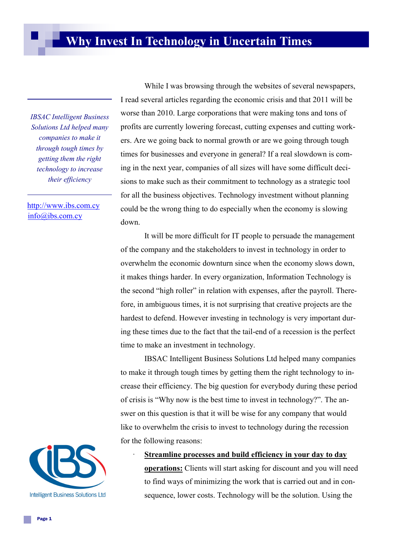*IBSAC Intelligent Business Solutions Ltd helped many companies to make it through tough times by getting them the right technology to increase their efficiency*

<http://www.ibs.com.cy> [info@ibs.com.cy](mailto:info@ibs.com.cy?subject=Request)

While I was browsing through the websites of several newspapers, I read several articles regarding the economic crisis and that 2011 will be worse than 2010. Large corporations that were making tons and tons of profits are currently lowering forecast, cutting expenses and cutting workers. Are we going back to normal growth or are we going through tough times for businesses and everyone in general? If a real slowdown is coming in the next year, companies of all sizes will have some difficult decisions to make such as their commitment to technology as a strategic tool for all the business objectives. Technology investment without planning could be the wrong thing to do especially when the economy is slowing down.

It will be more difficult for IT people to persuade the management of the company and the stakeholders to invest in technology in order to overwhelm the economic downturn since when the economy slows down, it makes things harder. In every organization, Information Technology is the second "high roller" in relation with expenses, after the payroll. Therefore, in ambiguous times, it is not surprising that creative projects are the hardest to defend. However investing in technology is very important during these times due to the fact that the tail-end of a recession is the perfect time to make an investment in technology.

IBSAC Intelligent Business Solutions Ltd helped many companies to make it through tough times by getting them the right technology to increase their efficiency. The big question for everybody during these period of crisis is "Why now is the best time to invest in technology?". The answer on this question is that it will be wise for any company that would like to overwhelm the crisis to invest to technology during the recession for the following reasons:



· **Streamline processes and build efficiency in your day to day** 

**operations:** Clients will start asking for discount and you will need to find ways of minimizing the work that is carried out and in consequence, lower costs. Technology will be the solution. Using the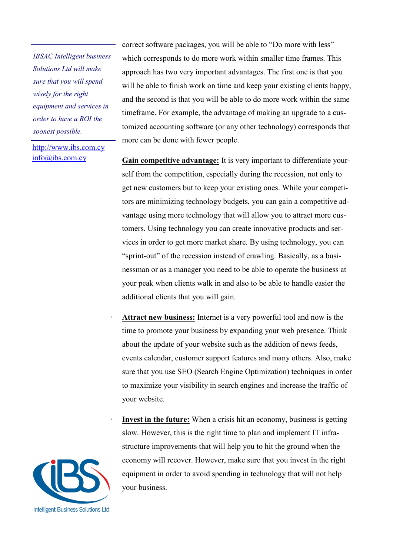*IBSAC Intelligent business Solutions Ltd will make sure that you will spend wisely for the right equipment and services in order to have a ROI the soonest possible.*

<http://www.ibs.com.cy> [info@ibs.com.cy](mailto:info@ibs.com.cy?subject=Request)

correct software packages, you will be able to "Do more with less" which corresponds to do more work within smaller time frames. This approach has two very important advantages. The first one is that you will be able to finish work on time and keep your existing clients happy, and the second is that you will be able to do more work within the same timeframe. For example, the advantage of making an upgrade to a customized accounting software (or any other technology) corresponds that more can be done with fewer people.

- ·**Gain competitive advantage:** It is very important to differentiate yourself from the competition, especially during the recession, not only to get new customers but to keep your existing ones. While your competitors are minimizing technology budgets, you can gain a competitive advantage using more technology that will allow you to attract more customers. Using technology you can create innovative products and services in order to get more market share. By using technology, you can "sprint-out" of the recession instead of crawling. Basically, as a businessman or as a manager you need to be able to operate the business at your peak when clients walk in and also to be able to handle easier the additional clients that you will gain.
- Attract new business: Internet is a very powerful tool and now is the time to promote your business by expanding your web presence. Think about the update of your website such as the addition of news feeds, events calendar, customer support features and many others. Also, make sure that you use SEO (Search Engine Optimization) techniques in order to maximize your visibility in search engines and increase the traffic of your website.
	- **Invest in the future:** When a crisis hit an economy, business is getting slow. However, this is the right time to plan and implement IT infrastructure improvements that will help you to hit the ground when the economy will recover. However, make sure that you invest in the right equipment in order to avoid spending in technology that will not help your business.